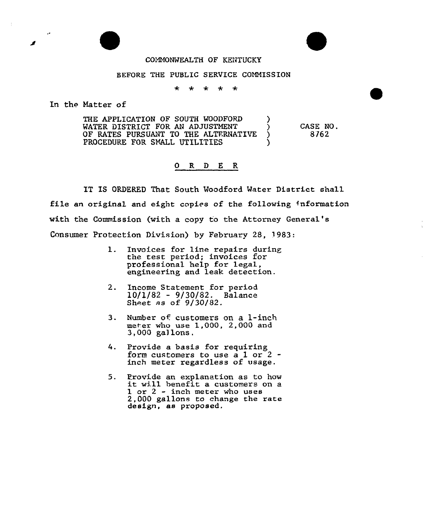## COMMONWEALTH OF KENTUCKY

## BEFORE THE PUBLIC SERVICE COMMISSION

\* \* \* \* \*

In the Hatter of

THE APPLICATION OF SOUTH WOODFORD (1)<br>WATER DISTRICT FOR AN ADJUSTMENT (1) WATER DISTRICT FOR AN ADJUSTMENT (1988)<br>OF RATES PURSUANT TO THE ALTERNATIVE (1988) OF RATES PURSUANT TO THE ALTERNATIVE PROCEDURE FOR SNALL UTILITIES

CASE NO. 8762

## Q R D E R

IT IS ORDERED That South Moodford Mater District shall file an original and eight copies of the following information with the Commission (with a copy to the Attorney General' Consumer Protection Division) by February 28, 1983:

- l. Invoices for line repairs during the test period; invoices for professional help for legal, engineering and leak detection.
- 2. Income Statement for period 10/1/82 - 9/30/82. Balance  $\frac{20}{20}$  as of 9/30/82.
- 3. Number of customers on a 1-inch met-er who use 1,000, 2,000 and 3,000 ga)lons.
- 4. Provide a basis for requiring form customers to use a 1 or 2 inch meter regardless of vsage.
- 5. Provide an explanation as to how it will benefit <sup>a</sup> customers on <sup>a</sup> 1 or <sup>2</sup> - inch meter who uses 2,000 gallons to change the rete design, as proposed.